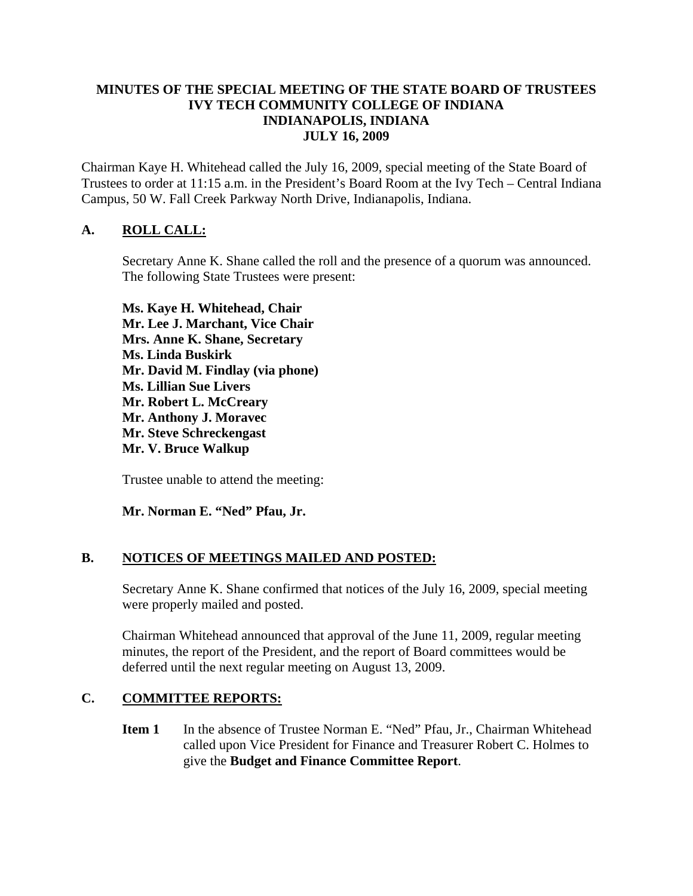### **MINUTES OF THE SPECIAL MEETING OF THE STATE BOARD OF TRUSTEES IVY TECH COMMUNITY COLLEGE OF INDIANA INDIANAPOLIS, INDIANA JULY 16, 2009**

Chairman Kaye H. Whitehead called the July 16, 2009, special meeting of the State Board of Trustees to order at 11:15 a.m. in the President's Board Room at the Ivy Tech – Central Indiana Campus, 50 W. Fall Creek Parkway North Drive, Indianapolis, Indiana.

## **A. ROLL CALL:**

Secretary Anne K. Shane called the roll and the presence of a quorum was announced. The following State Trustees were present:

**Ms. Kaye H. Whitehead, Chair Mr. Lee J. Marchant, Vice Chair Mrs. Anne K. Shane, Secretary Ms. Linda Buskirk Mr. David M. Findlay (via phone) Ms. Lillian Sue Livers Mr. Robert L. McCreary Mr. Anthony J. Moravec Mr. Steve Schreckengast Mr. V. Bruce Walkup** 

Trustee unable to attend the meeting:

**Mr. Norman E. "Ned" Pfau, Jr.** 

#### **B. NOTICES OF MEETINGS MAILED AND POSTED:**

Secretary Anne K. Shane confirmed that notices of the July 16, 2009, special meeting were properly mailed and posted.

Chairman Whitehead announced that approval of the June 11, 2009, regular meeting minutes, the report of the President, and the report of Board committees would be deferred until the next regular meeting on August 13, 2009.

## **C. COMMITTEE REPORTS:**

**Item 1** In the absence of Trustee Norman E. "Ned" Pfau, Jr., Chairman Whitehead called upon Vice President for Finance and Treasurer Robert C. Holmes to give the **Budget and Finance Committee Report**.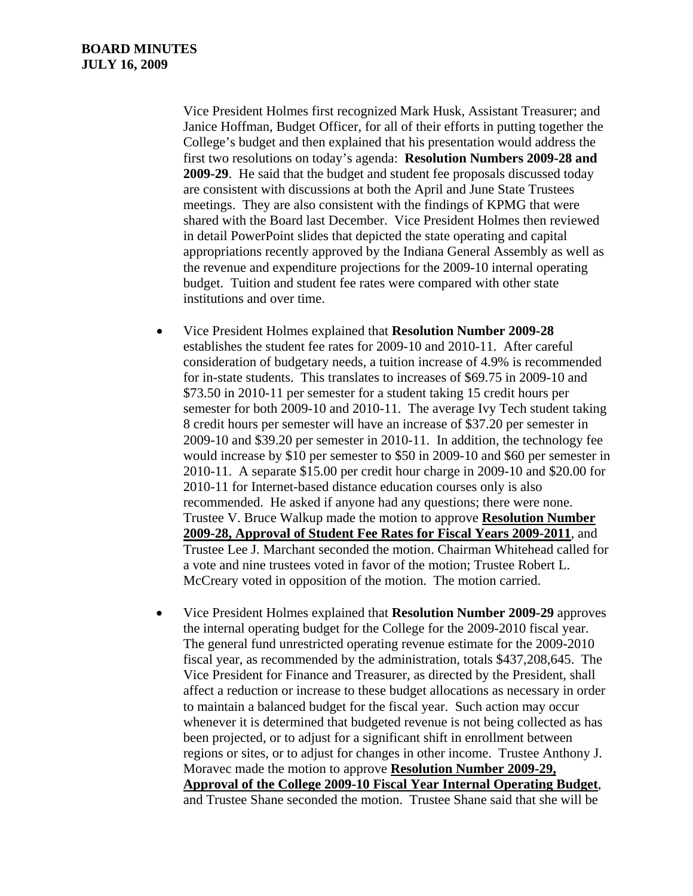Vice President Holmes first recognized Mark Husk, Assistant Treasurer; and Janice Hoffman, Budget Officer, for all of their efforts in putting together the College's budget and then explained that his presentation would address the first two resolutions on today's agenda: **Resolution Numbers 2009-28 and 2009-29**. He said that the budget and student fee proposals discussed today are consistent with discussions at both the April and June State Trustees meetings. They are also consistent with the findings of KPMG that were shared with the Board last December. Vice President Holmes then reviewed in detail PowerPoint slides that depicted the state operating and capital appropriations recently approved by the Indiana General Assembly as well as the revenue and expenditure projections for the 2009-10 internal operating budget. Tuition and student fee rates were compared with other state institutions and over time.

- Vice President Holmes explained that **Resolution Number 2009-28** establishes the student fee rates for 2009-10 and 2010-11. After careful consideration of budgetary needs, a tuition increase of 4.9% is recommended for in-state students. This translates to increases of \$69.75 in 2009-10 and \$73.50 in 2010-11 per semester for a student taking 15 credit hours per semester for both 2009-10 and 2010-11. The average Ivy Tech student taking 8 credit hours per semester will have an increase of \$37.20 per semester in 2009-10 and \$39.20 per semester in 2010-11. In addition, the technology fee would increase by \$10 per semester to \$50 in 2009-10 and \$60 per semester in 2010-11. A separate \$15.00 per credit hour charge in 2009-10 and \$20.00 for 2010-11 for Internet-based distance education courses only is also recommended. He asked if anyone had any questions; there were none. Trustee V. Bruce Walkup made the motion to approve **Resolution Number 2009-28, Approval of Student Fee Rates for Fiscal Years 2009-2011**, and Trustee Lee J. Marchant seconded the motion. Chairman Whitehead called for a vote and nine trustees voted in favor of the motion; Trustee Robert L. McCreary voted in opposition of the motion. The motion carried.
- Vice President Holmes explained that **Resolution Number 2009-29** approves the internal operating budget for the College for the 2009-2010 fiscal year. The general fund unrestricted operating revenue estimate for the 2009-2010 fiscal year, as recommended by the administration, totals \$437,208,645. The Vice President for Finance and Treasurer, as directed by the President, shall affect a reduction or increase to these budget allocations as necessary in order to maintain a balanced budget for the fiscal year. Such action may occur whenever it is determined that budgeted revenue is not being collected as has been projected, or to adjust for a significant shift in enrollment between regions or sites, or to adjust for changes in other income. Trustee Anthony J. Moravec made the motion to approve **Resolution Number 2009-29, Approval of the College 2009-10 Fiscal Year Internal Operating Budget**, and Trustee Shane seconded the motion. Trustee Shane said that she will be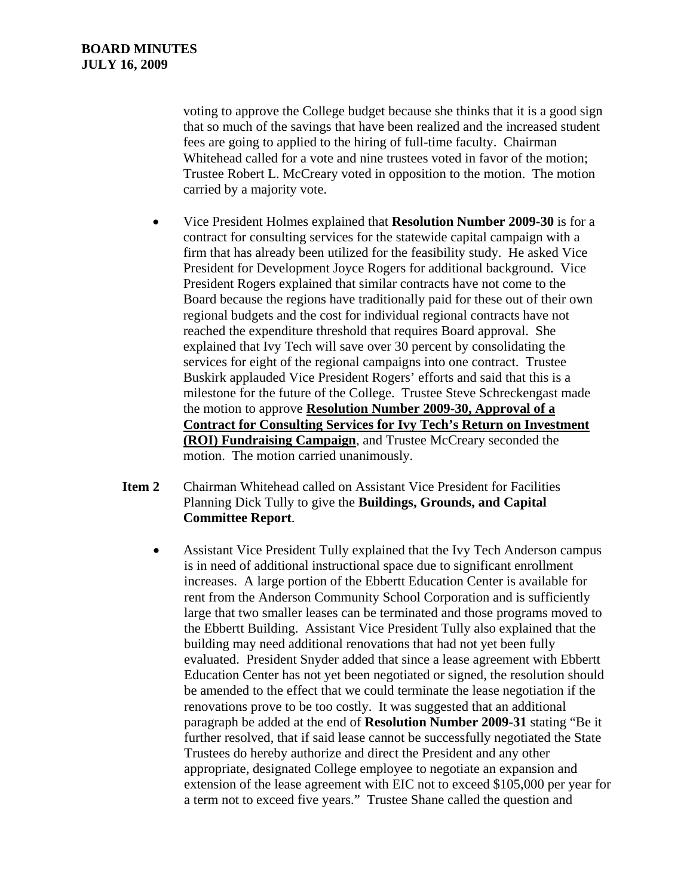voting to approve the College budget because she thinks that it is a good sign that so much of the savings that have been realized and the increased student fees are going to applied to the hiring of full-time faculty. Chairman Whitehead called for a vote and nine trustees voted in favor of the motion; Trustee Robert L. McCreary voted in opposition to the motion. The motion carried by a majority vote.

- Vice President Holmes explained that **Resolution Number 2009-30** is for a contract for consulting services for the statewide capital campaign with a firm that has already been utilized for the feasibility study. He asked Vice President for Development Joyce Rogers for additional background. Vice President Rogers explained that similar contracts have not come to the Board because the regions have traditionally paid for these out of their own regional budgets and the cost for individual regional contracts have not reached the expenditure threshold that requires Board approval. She explained that Ivy Tech will save over 30 percent by consolidating the services for eight of the regional campaigns into one contract. Trustee Buskirk applauded Vice President Rogers' efforts and said that this is a milestone for the future of the College. Trustee Steve Schreckengast made the motion to approve **Resolution Number 2009-30, Approval of a Contract for Consulting Services for Ivy Tech's Return on Investment (ROI) Fundraising Campaign**, and Trustee McCreary seconded the motion. The motion carried unanimously.
- **Item 2** Chairman Whitehead called on Assistant Vice President for Facilities Planning Dick Tully to give the **Buildings, Grounds, and Capital Committee Report**.
	- Assistant Vice President Tully explained that the Ivy Tech Anderson campus is in need of additional instructional space due to significant enrollment increases. A large portion of the Ebbertt Education Center is available for rent from the Anderson Community School Corporation and is sufficiently large that two smaller leases can be terminated and those programs moved to the Ebbertt Building. Assistant Vice President Tully also explained that the building may need additional renovations that had not yet been fully evaluated. President Snyder added that since a lease agreement with Ebbertt Education Center has not yet been negotiated or signed, the resolution should be amended to the effect that we could terminate the lease negotiation if the renovations prove to be too costly. It was suggested that an additional paragraph be added at the end of **Resolution Number 2009-31** stating "Be it further resolved, that if said lease cannot be successfully negotiated the State Trustees do hereby authorize and direct the President and any other appropriate, designated College employee to negotiate an expansion and extension of the lease agreement with EIC not to exceed \$105,000 per year for a term not to exceed five years." Trustee Shane called the question and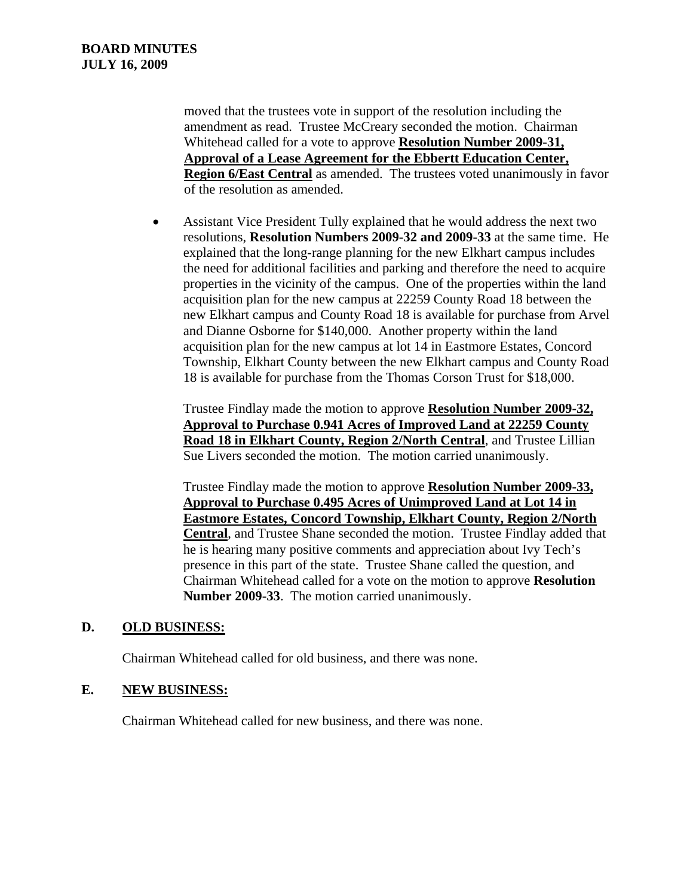moved that the trustees vote in support of the resolution including the amendment as read. Trustee McCreary seconded the motion. Chairman Whitehead called for a vote to approve **Resolution Number 2009-31, Approval of a Lease Agreement for the Ebbertt Education Center, Region 6/East Central** as amended. The trustees voted unanimously in favor of the resolution as amended.

• Assistant Vice President Tully explained that he would address the next two resolutions, **Resolution Numbers 2009-32 and 2009-33** at the same time. He explained that the long-range planning for the new Elkhart campus includes the need for additional facilities and parking and therefore the need to acquire properties in the vicinity of the campus. One of the properties within the land acquisition plan for the new campus at 22259 County Road 18 between the new Elkhart campus and County Road 18 is available for purchase from Arvel and Dianne Osborne for \$140,000. Another property within the land acquisition plan for the new campus at lot 14 in Eastmore Estates, Concord Township, Elkhart County between the new Elkhart campus and County Road 18 is available for purchase from the Thomas Corson Trust for \$18,000.

Trustee Findlay made the motion to approve **Resolution Number 2009-32, Approval to Purchase 0.941 Acres of Improved Land at 22259 County Road 18 in Elkhart County, Region 2/North Central**, and Trustee Lillian Sue Livers seconded the motion. The motion carried unanimously.

Trustee Findlay made the motion to approve **Resolution Number 2009-33, Approval to Purchase 0.495 Acres of Unimproved Land at Lot 14 in Eastmore Estates, Concord Township, Elkhart County, Region 2/North Central**, and Trustee Shane seconded the motion. Trustee Findlay added that he is hearing many positive comments and appreciation about Ivy Tech's presence in this part of the state. Trustee Shane called the question, and Chairman Whitehead called for a vote on the motion to approve **Resolution Number 2009-33**. The motion carried unanimously.

#### **D. OLD BUSINESS:**

Chairman Whitehead called for old business, and there was none.

#### **E. NEW BUSINESS:**

Chairman Whitehead called for new business, and there was none.